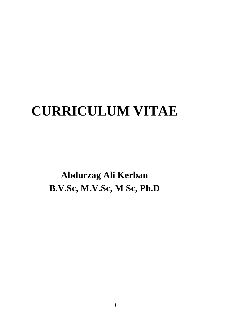# **CURRICULUM VITAE**

**Abdurzag Ali Kerban B.V.Sc, M.V.Sc, M Sc, Ph.D**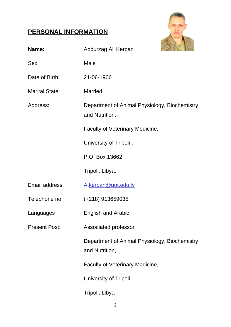# **PERSONAL INFORMATION**



| Name:                 | Abdurzag Ali Kerban                                             |
|-----------------------|-----------------------------------------------------------------|
| Sex:                  | Male                                                            |
| Date of Birth:        | 21-06-1966                                                      |
| <b>Marital State:</b> | <b>Married</b>                                                  |
| Address:              | Department of Animal Physiology, Biochemistry<br>and Nutrition, |
|                       | Faculty of Veterinary Medicine,                                 |
|                       | University of Tripoli.                                          |
|                       | P.O. Box 13662                                                  |
|                       | Tripoli, Libya.                                                 |
| Email address:        | A.kerban@uot.edu.ly                                             |
| Telephone no:         | $(+218)$ 913659035                                              |
| Languages             | <b>English and Arabic</b>                                       |
| <b>Present Post:</b>  | Associated professor                                            |
|                       | Department of Animal Physiology, Biochemistry<br>and Nutrition, |
|                       | <b>Faculty of Veterinary Medicine,</b>                          |
|                       | University of Tripoli,                                          |
|                       | Tripoli, Libya                                                  |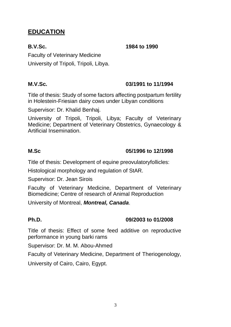# **EDUCATION**

**B.V.Sc. 1984 to 1990**

Faculty of Veterinary Medicine University of Tripoli, Tripoli, Libya.

### **M.V.Sc. 03/1991 to 11/1994**

Title of thesis: Study of some factors affecting postpartum fertility in Holestein-Friesian dairy cows under Libyan conditions

Supervisor: Dr. Khalid Benhaj.

University of Tripoli, Tripoli, Libya; Faculty of Veterinary Medicine; Department of Veterinary Obstetrics, Gynaecology & Artificial Insemination.

### **M.Sc 05/1996 to 12/1998**

Title of thesis: Development of equine preovulatoryfollicles:

Histological morphology and regulation of StAR.

Supervisor: Dr. Jean Sirois

Faculty of Veterinary Medicine, Department of Veterinary Biomedicine; Centre of research of Animal Reproduction

University of Montreal, *Montreal, Canada*.

### **Ph.D. 09/2003 to 01/2008**

Title of thesis: Effect of some feed additive on reproductive performance in young barki rams

Supervisor: Dr. M. M. Abou-Ahmed

Faculty of Veterinary Medicine, Department of Theriogenology,

University of Cairo, Cairo, Egypt.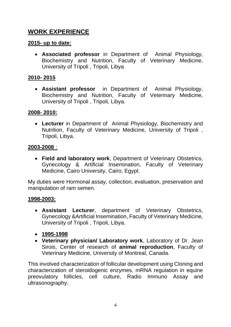# **WORK EXPERIENCE**

### **2015- up to date:**

• **Associated professor** in Department of Animal Physiology, Biochemistry and Nutrition, Faculty of Veterinary Medicine, University of Tripoli , Tripoli, Libya

### **2010- 2015**

• **Assistant professor** in Department of Animal Physiology, Biochemistry and Nutrition, Faculty of Veterinary Medicine, University of Tripoli , Tripoli, Libya.

#### **2008- 2010:**

• **Lecturer** in Department of Animal Physiology, Biochemistry and Nutrition, Faculty of Veterinary Medicine, University of Tripoli , Tripoli, Libya.

#### **2003-2008** :

• **Field and laboratory work**, Department of Veterinary Obstetrics, Gynecology & Artificial Insemination, Faculty of Veterinary Medicine, Cairo University, Cairo, Egypt.

My duties were Hormonal assay, collection, evaluation, preservation and manipulation of ram semen.

#### **1998-2003:**

- **Assistant Lecturer**, department of Veterinary Obstetrics, Gynecology &Artificial Insemination, Faculty of Veterinary Medicine, University of Tripoli , Tripoli, Libya.
- **1995-1998**
- **Veterinary physician/ Laboratory work**, Laboratory of Dr. Jean Sirois, Center of research of **animal reproduction**, Faculty of Veterinary Medicine, University of Montreal, Canada.

This involved characterization of follicular development using Cloning and characterization of steroidogenic enzymes, mRNA regulation in equine preovulatory follicles, cell culture, Radio Immuno Assay and ultrasonography.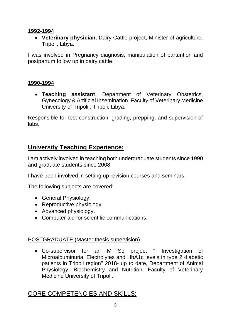### **1992-1994**

• **Veterinary physician**, Dairy Cattle project, Minister of agriculture, Tripoli, Libya.

I was involved in Pregnancy diagnosis, manipulation of parturition and postpartum follow up in dairy cattle.

## **1990-1994**

• **Teaching assistant**, Department of Veterinary Obstetrics, Gynecology & Artificial Insemination, Faculty of Veterinary Medicine University of Tripoli , Tripoli, Libya.

Responsible for test construction, grading, prepping, and supervision of labs.

# **University Teaching Experience:**

I am actively involved in teaching both undergraduate students since 1990 and graduate students since 2008.

I have been involved in setting up revision courses and seminars.

The following subjects are covered:

- General Physiology.
- Reproductive physiology.
- Advanced physiology.
- Computer aid for scientific communications.

# POSTGRADUATE (Master thesis supervision)

• Co-supervisor for an M Sc project " Investigation of Microalbuminuria, Electrolytes and HbA1c levels in type 2 diabetic patients in Tripoli region" 2018- up to date, Department of Animal Physiology, Biochemistry and Nutrition, Faculty of Veterinary Medicine University of Tripoli.

# CORE COMPETENCIES AND SKILLS: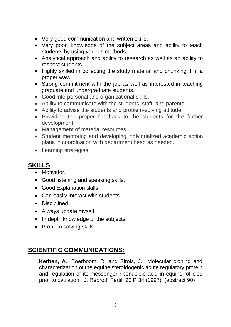- Very good communication and written skills.
- Very good knowledge of the subject areas and ability to teach students by using various methods.
- Analytical approach and ability to research as well as an ability to respect students.
- Highly skilled in collecting the study material and chunking it in a proper way.
- Strong commitment with the job as well as interested in teaching graduate and undergraduate students.
- Good interpersonal and organizational skills.
- Ability to communicate with the students, staff, and parents.
- Ability to advise the students and problem-solving attitude.
- Providing the proper feedback to the students for the further development.
- Management of material resources.
- Student mentoring and developing individualized academic action plans in coordination with department head as needed.
- Learning strategies.

# **SKILLS**

- Motivator.
- Good listening and speaking skills.
- Good Explanation skills.
- Can easily interact with students.
- Disciplined.
- Always update myself.
- In depth knowledge of the subjects.
- Problem solving skills.

# **SCIENTIFIC COMMUNICATIONS:**

1. **Kerban, A**., Boerboom, D. and Sirois, J. Molecular cloning and characterization of the equine steroidogenic acute regulatory protein and regulation of its messenger ribonucleic acid in equine follicles prior to ovulation. J. Reprod. Fertil. 20 P 34 (1997). (abstract 90)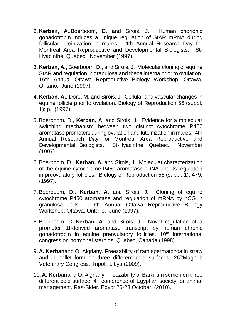- 2. **Kerban, A.,**Boerboom, D. and Sirois, J. Human chorionic gonadotropin induces a unique regulation of StAR mRNA during follicular luteinization in mares. 4th Annual Research Day for Montreal Area Reproductive and Developmental Biologists. St-Hyacinthe, Quebec. November (1997).
- 3. **Kerban, A.**, Boerboom, D., and Sirois, J. Molecular cloning of equine StAR and regulation in granulosa and theca interna prior to ovulation. 16th Annual Ottawa Reproductive Biology Workshop. Ottawa, Ontario. June (1997).
- 4. **Kerban, A.**, Dore, M. and Sirois, J. Cellular and vascular changes in equine follicle prior to ovulation. Biology of Reproduction 56 (suppl. 1): p. (1997).
- 5.Boerboom, D., **Kerban, A**. and Sirois, J. Evidence for a molecular switching mechanism between two distinct cytochrome P450 aromatase promoters during ovulation and luteinization in mares. 4th Annual Research Day for Montreal Area Reproductive and Developmental Biologists. St-Hyacinthe, Quebec. November (1997).
- 6.Boerboom, D., **Kerban, A.** and Sirois, J. Molecular characterization of the equine cytochrome P450 aromatase cDNA and its regulation in preovulatory follicles. Biology of Reproduction 56 (suppl. 1): 479. (1997).
- 7.Boerboom, D., **Kerban, A.** and Sirois, J. Cloning of equine cytochrome P450 aromatase and regulation of mRNA by hCG in granulosa cells. 16th Annual Ottawa Reproductive Biology Workshop. Ottawa, Ontario. June (1997).
- 8.Boerboom, D.**,Kerban, A.** and Sirois, J. Novel regulation of a promoter 1f-derived aromatase transcript by human chronic gonadotropin in equine preovulatory follicles. 10<sup>th</sup> international congress on hormonal steroids, Quebec, Canada (1998).
- 9. **A. Kerban**and O. Algriany. Freezability of ram spermatozoa in straw and in pellet form on three different cold surfaces. 26<sup>th</sup>Maghrib Veterinary Congress, Tripoli, Libya (2009) .
- 10. **A. Kerban**and O. Algriany. Freezability of Barkiram semen on three different cold surface.  $4<sup>th</sup>$  conference of Egyptian society for animal management. Ras-Sider, Egypt 25-28 October, (2010).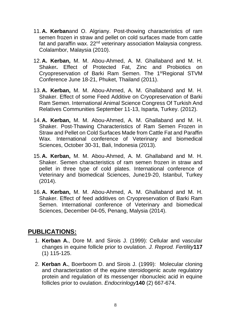- 11. **A. Kerban**and O. Algriany. Post-thowing characteristics of ram semen frozen in straw and pellet on cold surfaces made from cattle fat and paraffin wax. 22<sup>nd</sup> veterinary association Malaysia congress. Colalambor, Malaysia (2010).
- 12. **A. Kerban,** M. M. Abou-Ahmed, A. M. Ghallaband and M. H. Shaker**.** Effect of Protected Fat, Zinc and Probiotics on Cryopreservation of Barki Ram Semen. The 1<sup>st</sup>Regional STVM Conference June 18-21, Phuket, Thailand (2011).
- 13. **A. Kerban,** M. M. Abou-Ahmed, A. M. Ghallaband and M. H. Shaker. Effect of some Feed Additive on Cryopreservation of Barki Ram Semen. International Animal Science Congress Of Turkish And Relatives Communities September 11-13, Isparta, Turkey. (2012).
- 14. **A. Kerban,** M. M. Abou-Ahmed, A. M. Ghallaband and M. H. Shaker. Post-Thawing Characteristics of Ram Semen Frozen in Straw and Pellet on Cold Surfaces Made from Cattle Fat and Paraffin Wax. International conference of Veterinary and biomedical Sciences, October 30-31, Bali, Indonesia (2013).
- 15. **A. Kerban,** M. M. Abou-Ahmed, A. M. Ghallaband and M. H. Shaker. Semen characteristics of ram semen frozen in straw and pellet in three type of cold plates. International conference of Veterinary and biomedical Sciences, June19-20, Istanbul, Turkey (2014).
- 16. **A. Kerban,** M. M. Abou-Ahmed, A. M. Ghallaband and M. H. Shaker. Effect of feed additives on Cryopreservation of Barki Ram Semen. International conference of Veterinary and biomedical Sciences, December 04-05, Penang, Malysia (2014).

# **PUBLICATIONS:**

- 1. **Kerban A.**, Dore M. and Sirois J. (1999): Cellular and vascular changes in equine follicle prior to ovulation. *J. Reprod. Fertility***117** (1) 115-125.
- 2. **Kerban A.**, Boerboom D. and Sirois J. (1999): Molecular cloning and characterization of the equine steroidogenic acute regulatory protein and regulation of its messenger ribonucleic acid in equine follicles prior to ovulation. *Endocrinlogy***140** (2) 667-674.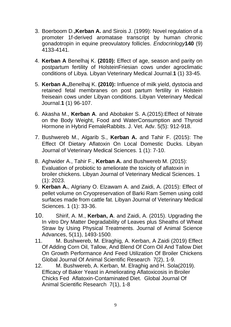- 3. Boerboom D.**,Kerban A.** and Sirois J. (1999): Novel regulation of a promoter 1f-derived aromatase transcript by human chronic gonadotropin in equine preovulatory follicles. *Endocrinlogy***140** (9) 4133-4141.
- 4. **Kerban A** Benelhaj K. **(2010):** Effect of age, season and parity on postpartum fertility of HolsteinFriesian cows under agroclimatic conditions of Libya. Libyan Veterinary Medical Journal.**1** (1) 33-45.
- 5. **Kerban A.,**Benelhaj K. **(2010):** Influence of milk yield, dystocia and retained fetal membranes on post partum fertility in Holstein freiseain cows under Libyan conditions. Libyan Veterinary Medical Journal.**1** (1) 96-107.
- 6. Akasha M., **Kerban A**. and Abobaker S. A.(2015):Effect of Nitrate on the Body Weight, Food and WaterConsumption and Thyroid Hormone in Hybrid FemaleRabbits. J. Vet. Adv. 5(5): 912-918.
- 7. Bushwereb M., Algarib S., **Kerban A.** and Tahir F. (2015): The Effect Of Dietary Aflatoxin On Local Domestic Ducks. Libyan Journal of Veterinary Medical Sciences. 1 (1): 7-10.
- 8. Aghwider A., Tahir F., **Kerban A.** and Bushwereb M. (2015): Evaluation of probiotic to ameliorate the toxicity of aflatoxin in broiler chickens. Libyan Journal of Veterinary Medical Sciences. 1 (1): 2023.
- 9. **Kerban A.**, Algriany O. Elzawam A. and Zaidi, A. (2015): Effect of pellet volume on Cryopreservation of Barki Ram Semen using cold surfaces made from cattle fat. Libyan Journal of Veterinary Medical Sciences. 1 (1): 33-36.
- 10. Shirif, A. M., **Kerban, A**. and Zaidi, A. (2015). Upgrading the In vitro Dry Matter Degradability of Leaves plus Sheaths of Wheat Straw by Using Physical Treatments. Journal of Animal Science Advances, 5(11), 1493-1500.
- 11. M. Bushwereb, M. Elraghig, A. Kerban, A Zaidi (2019) Effect Of Adding Corn Oil, Tallow, And Blend Of Corn Oil And Tallow Diet On Growth Performance And Feed Utilization Of Broiler Chickens Global Journal Of Animal Scientific Research 7(2), 1-9.
- 12. M. Bushwereb, A. Kerban, M. Elraghig and H. Sola(2019). Efficacy of Baker Yeast in Ameliorating Aflatoxicosis in Broiler Chicks Fed Aflatoxin-Contaminated Diet. Global Journal Of Animal Scientific Research 7(1), 1-8